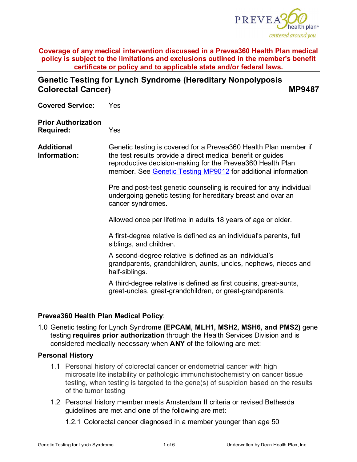

**Genetic Testing for Lynch Syndrome (Hereditary Nonpolyposis Colorectal Cancer) MP9487**

**Covered Service:** Yes

#### **Prior Authorization**

**Required:** Yes

**Additional Information:** Genetic testing is covered for a Prevea360 Health Plan member if the test results provide a direct medical benefit or guides reproductive decision-making for the Prevea360 Health Plan member. See [Genetic Testing MP9012](https://www.prevea360.com/DocumentLibrary/PDF/Medical-Policies/Genetic-Testing-9012) for additional information

Pre and post-test genetic counseling is required for any individual undergoing genetic testing for hereditary breast and ovarian cancer syndromes.

Allowed once per lifetime in adults 18 years of age or older.

A first-degree relative is defined as an individual's parents, full siblings, and children.

A second-degree relative is defined as an individual's grandparents, grandchildren, aunts, uncles, nephews, nieces and half-siblings.

A third-degree relative is defined as first cousins, great-aunts, great-uncles, great-grandchildren, or great-grandparents.

### **Prevea360 Health Plan Medical Policy**:

1.0 Genetic testing for Lynch Syndrome **(EPCAM, MLH1, MSH2, MSH6, and PMS2)** gene testing **requires prior authorization** through the Health Services Division and is considered medically necessary when **ANY** of the following are met:

### **Personal History**

- 1.1 Personal history of colorectal cancer or endometrial cancer with high microsatellite instability or pathologic immunohistochemistry on cancer tissue testing, when testing is targeted to the gene(s) of suspicion based on the results of the tumor testing
- 1.2 Personal history member meets Amsterdam II criteria or revised Bethesda guidelines are met and **one** of the following are met:

1.2.1 Colorectal cancer diagnosed in a member younger than age 50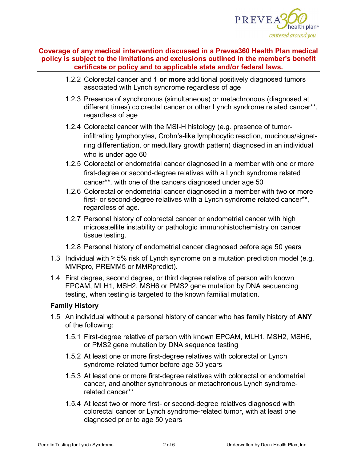

- 1.2.2 Colorectal cancer and **1 or more** additional positively diagnosed tumors associated with Lynch syndrome regardless of age
- 1.2.3 Presence of synchronous (simultaneous) or metachronous (diagnosed at different times) colorectal cancer or other Lynch syndrome related cancer\*\*, regardless of age
- 1.2.4 Colorectal cancer with the MSI-H histology (e.g. presence of tumorinfiltrating lymphocytes, Crohn's-like lymphocytic reaction, mucinous/signetring differentiation, or medullary growth pattern) diagnosed in an individual who is under age 60
- 1.2.5 Colorectal or endometrial cancer diagnosed in a member with one or more first-degree or second-degree relatives with a Lynch syndrome related cancer\*\*, with one of the cancers diagnosed under age 50
- 1.2.6 Colorectal or endometrial cancer diagnosed in a member with two or more first- or second-degree relatives with a Lynch syndrome related cancer\*\*, regardless of age.
- 1.2.7 Personal history of colorectal cancer or endometrial cancer with high microsatellite instability or pathologic immunohistochemistry on cancer tissue testing.
- 1.2.8 Personal history of endometrial cancer diagnosed before age 50 years
- 1.3 Individual with ≥ 5% risk of Lynch syndrome on a mutation prediction model (e.g. MMRpro, PREMM5 or MMRpredict).
- 1.4 First degree, second degree, or third degree relative of person with known EPCAM, MLH1, MSH2, MSH6 or PMS2 gene mutation by DNA sequencing testing, when testing is targeted to the known familial mutation.

# **Family History**

- 1.5 An individual without a personal history of cancer who has family history of **ANY** of the following:
	- 1.5.1 First-degree relative of person with known EPCAM, MLH1, MSH2, MSH6, or PMS2 gene mutation by DNA sequence testing
	- 1.5.2 At least one or more first-degree relatives with colorectal or Lynch syndrome-related tumor before age 50 years
	- 1.5.3 At least one or more first-degree relatives with colorectal or endometrial cancer, and another synchronous or metachronous Lynch syndromerelated cancer\*\*
	- 1.5.4 At least two or more first- or second-degree relatives diagnosed with colorectal cancer or Lynch syndrome-related tumor, with at least one diagnosed prior to age 50 years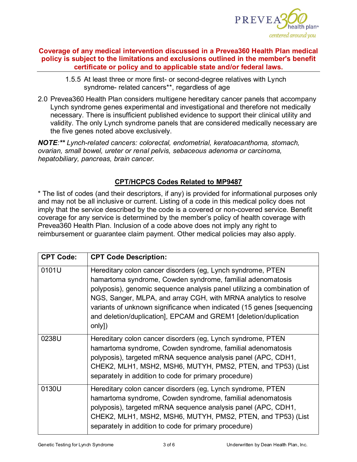

- 1.5.5 At least three or more first- or second-degree relatives with Lynch syndrome- related cancers\*\*, regardless of age
- 2.0 Prevea360 Health Plan considers multigene hereditary cancer panels that accompany Lynch syndrome genes experimental and investigational and therefore not medically necessary. There is insufficient published evidence to support their clinical utility and validity. The only Lynch syndrome panels that are considered medically necessary are the five genes noted above exclusively.

*NOTE:\*\* Lynch-related cancers: colorectal, endometrial, keratoacanthoma, stomach, ovarian, small bowel, ureter or renal pelvis, sebaceous adenoma or carcinoma, hepatobiliary, pancreas, brain cancer.*

# **CPT/HCPCS Codes Related to MP9487**

\* The list of codes (and their descriptors, if any) is provided for informational purposes only and may not be all inclusive or current. Listing of a code in this medical policy does not imply that the service described by the code is a covered or non-covered service. Benefit coverage for any service is determined by the member's policy of health coverage with Prevea360 Health Plan. Inclusion of a code above does not imply any right to reimbursement or guarantee claim payment. Other medical policies may also apply.

| <b>CPT Code:</b> | <b>CPT Code Description:</b>                                                                                                                                                                                                                                                                                                                                                                                                    |  |
|------------------|---------------------------------------------------------------------------------------------------------------------------------------------------------------------------------------------------------------------------------------------------------------------------------------------------------------------------------------------------------------------------------------------------------------------------------|--|
| 0101U            | Hereditary colon cancer disorders (eg, Lynch syndrome, PTEN<br>hamartoma syndrome, Cowden syndrome, familial adenomatosis<br>polyposis), genomic sequence analysis panel utilizing a combination of<br>NGS, Sanger, MLPA, and array CGH, with MRNA analytics to resolve<br>variants of unknown significance when indicated (15 genes [sequencing]<br>and deletion/duplication], EPCAM and GREM1 [deletion/duplication<br>only]) |  |
| 0238U            | Hereditary colon cancer disorders (eg, Lynch syndrome, PTEN<br>hamartoma syndrome, Cowden syndrome, familial adenomatosis<br>polyposis), targeted mRNA sequence analysis panel (APC, CDH1,<br>CHEK2, MLH1, MSH2, MSH6, MUTYH, PMS2, PTEN, and TP53) (List<br>separately in addition to code for primary procedure)                                                                                                              |  |
| 0130U            | Hereditary colon cancer disorders (eg, Lynch syndrome, PTEN<br>hamartoma syndrome, Cowden syndrome, familial adenomatosis<br>polyposis), targeted mRNA sequence analysis panel (APC, CDH1,<br>CHEK2, MLH1, MSH2, MSH6, MUTYH, PMS2, PTEN, and TP53) (List<br>separately in addition to code for primary procedure)                                                                                                              |  |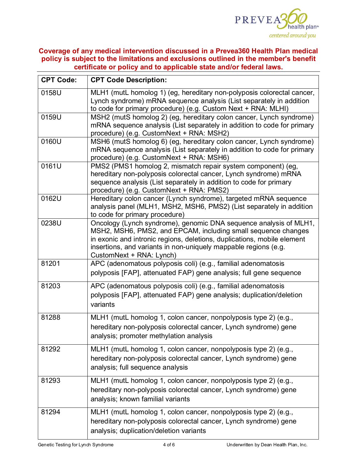

| <b>CPT Code:</b> | <b>CPT Code Description:</b>                                                                                                                                                                                                                                                                                 |  |  |
|------------------|--------------------------------------------------------------------------------------------------------------------------------------------------------------------------------------------------------------------------------------------------------------------------------------------------------------|--|--|
| 0158U            | MLH1 (mutL homolog 1) (eg, hereditary non-polyposis colorectal cancer,<br>Lynch syndrome) mRNA sequence analysis (List separately in addition<br>to code for primary procedure) (e.g. Custom Next + RNA: MLHI)                                                                                               |  |  |
| 0159U            | MSH2 (mutS homolog 2) (eg, hereditary colon cancer, Lynch syndrome)<br>mRNA sequence analysis (List separately in addition to code for primary<br>procedure) (e.g. CustomNext + RNA: MSH2)                                                                                                                   |  |  |
| 0160U            | MSH6 (mutS homolog 6) (eg, hereditary colon cancer, Lynch syndrome)<br>mRNA sequence analysis (List separately in addition to code for primary<br>procedure) (e.g. CustomNext + RNA: MSH6)                                                                                                                   |  |  |
| 0161U            | PMS2 (PMS1 homolog 2, mismatch repair system component) (eg,<br>hereditary non-polyposis colorectal cancer, Lynch syndrome) mRNA<br>sequence analysis (List separately in addition to code for primary<br>procedure) (e.g. CustomNext + RNA: PMS2)                                                           |  |  |
| 0162U            | Hereditary colon cancer (Lynch syndrome), targeted mRNA sequence<br>analysis panel (MLH1, MSH2, MSH6, PMS2) (List separately in addition<br>to code for primary procedure)                                                                                                                                   |  |  |
| 0238U            | Oncology (Lynch syndrome), genomic DNA sequence analysis of MLH1,<br>MSH2, MSH6, PMS2, and EPCAM, including small sequence changes<br>in exonic and intronic regions, deletions, duplications, mobile element<br>insertions, and variants in non-uniquely mappable regions (e.g.<br>CustomNext + RNA: Lynch) |  |  |
| 81201            | APC (adenomatous polyposis coli) (e.g., familial adenomatosis<br>polyposis [FAP], attenuated FAP) gene analysis; full gene sequence                                                                                                                                                                          |  |  |
| 81203            | APC (adenomatous polyposis coli) (e.g., familial adenomatosis<br>polyposis [FAP], attenuated FAP) gene analysis; duplication/deletion<br>variants                                                                                                                                                            |  |  |
| 81288            | MLH1 (mutL homolog 1, colon cancer, nonpolyposis type 2) (e.g.,<br>hereditary non-polyposis colorectal cancer, Lynch syndrome) gene<br>analysis; promoter methylation analysis                                                                                                                               |  |  |
| 81292            | MLH1 (mutL homolog 1, colon cancer, nonpolyposis type 2) (e.g.,<br>hereditary non-polyposis colorectal cancer, Lynch syndrome) gene<br>analysis; full sequence analysis                                                                                                                                      |  |  |
| 81293            | MLH1 (mutL homolog 1, colon cancer, nonpolyposis type 2) (e.g.,<br>hereditary non-polyposis colorectal cancer, Lynch syndrome) gene<br>analysis; known familial variants                                                                                                                                     |  |  |
| 81294            | MLH1 (mutL homolog 1, colon cancer, nonpolyposis type 2) (e.g.,<br>hereditary non-polyposis colorectal cancer, Lynch syndrome) gene<br>analysis; duplication/deletion variants                                                                                                                               |  |  |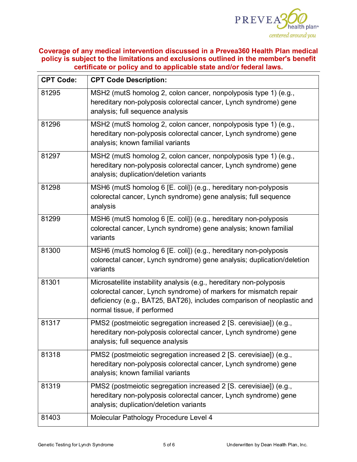

| <b>CPT Code:</b> | <b>CPT Code Description:</b>                                                                                                                                                                                                                      |  |  |
|------------------|---------------------------------------------------------------------------------------------------------------------------------------------------------------------------------------------------------------------------------------------------|--|--|
| 81295            | MSH2 (mutS homolog 2, colon cancer, nonpolyposis type 1) (e.g.,<br>hereditary non-polyposis colorectal cancer, Lynch syndrome) gene<br>analysis; full sequence analysis                                                                           |  |  |
| 81296            | MSH2 (mutS homolog 2, colon cancer, nonpolyposis type 1) (e.g.,<br>hereditary non-polyposis colorectal cancer, Lynch syndrome) gene<br>analysis; known familial variants                                                                          |  |  |
| 81297            | MSH2 (mutS homolog 2, colon cancer, nonpolyposis type 1) (e.g.,<br>hereditary non-polyposis colorectal cancer, Lynch syndrome) gene<br>analysis; duplication/deletion variants                                                                    |  |  |
| 81298            | MSH6 (mutS homolog 6 [E. coli]) (e.g., hereditary non-polyposis<br>colorectal cancer, Lynch syndrome) gene analysis; full sequence<br>analysis                                                                                                    |  |  |
| 81299            | MSH6 (mutS homolog 6 [E. coli]) (e.g., hereditary non-polyposis<br>colorectal cancer, Lynch syndrome) gene analysis; known familial<br>variants                                                                                                   |  |  |
| 81300            | MSH6 (mutS homolog 6 [E. coli]) (e.g., hereditary non-polyposis<br>colorectal cancer, Lynch syndrome) gene analysis; duplication/deletion<br>variants                                                                                             |  |  |
| 81301            | Microsatellite instability analysis (e.g., hereditary non-polyposis<br>colorectal cancer, Lynch syndrome) of markers for mismatch repair<br>deficiency (e.g., BAT25, BAT26), includes comparison of neoplastic and<br>normal tissue, if performed |  |  |
| 81317            | PMS2 (postmeiotic segregation increased 2 [S. cerevisiae]) (e.g.,<br>hereditary non-polyposis colorectal cancer, Lynch syndrome) gene<br>analysis; full sequence analysis                                                                         |  |  |
| 81318            | PMS2 (postmeiotic segregation increased 2 [S. cerevisiae]) (e.g.,<br>hereditary non-polyposis colorectal cancer, Lynch syndrome) gene<br>analysis; known familial variants                                                                        |  |  |
| 81319            | PMS2 (postmeiotic segregation increased 2 [S. cerevisiae]) (e.g.,<br>hereditary non-polyposis colorectal cancer, Lynch syndrome) gene<br>analysis; duplication/deletion variants                                                                  |  |  |
| 81403            | Molecular Pathology Procedure Level 4                                                                                                                                                                                                             |  |  |